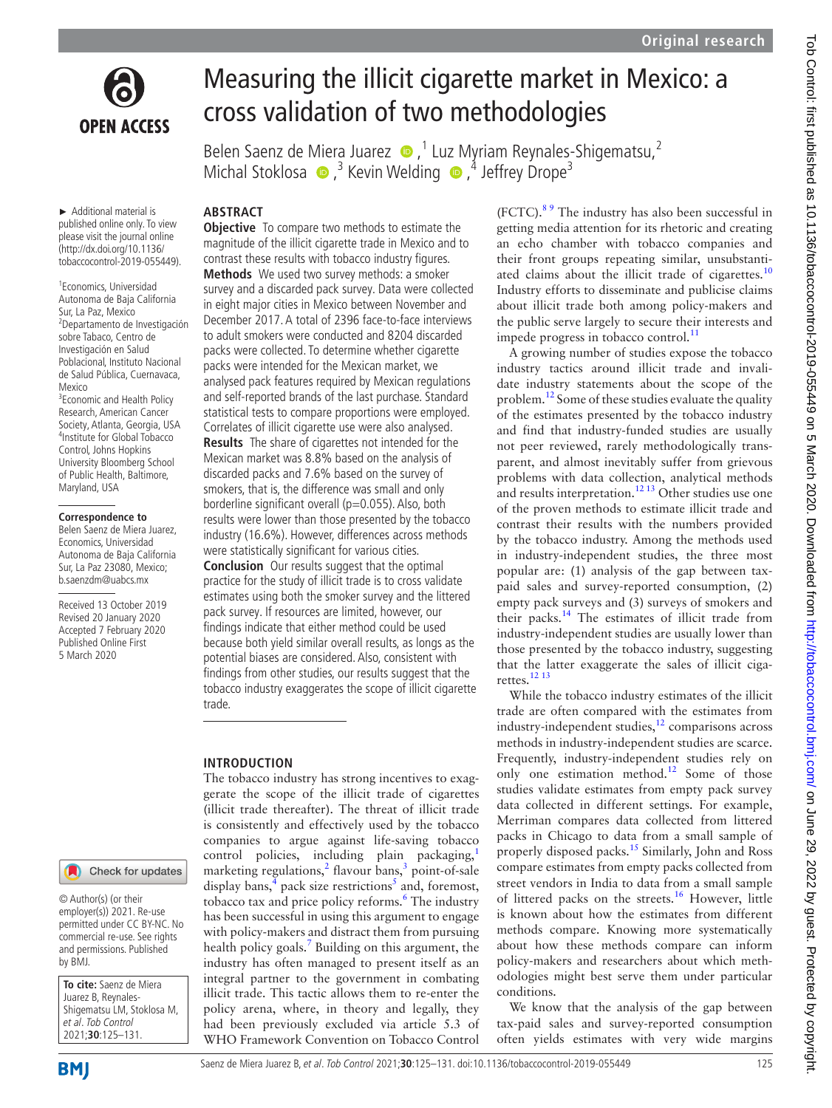

# Measuring the illicit cigarette market in Mexico: a cross validation of two methodologies

BelenSaenz de Miera Juarez  $\bullet$ ,<sup>1</sup> Luz Myriam Reynales-Shigematsu,<sup>2</sup> MichalStoklosa  $\bullet$ ,<sup>3</sup> Kevin Welding  $\bullet$ ,<sup>4</sup> Jeffrey Drope<sup>3</sup>

► Additional material is published online only. To view please visit the journal online (http://dx.doi.org/10.1136/ tobaccocontrol-2019-055449). **Abstract**

trade.

**Introduction**

**Objective** To compare two methods to estimate the magnitude of the illicit cigarette trade in Mexico and to contrast these results with tobacco industry figures. **Methods** We used two survey methods: a smoker survey and a discarded pack survey. Data were collected in eight major cities in Mexico between November and December 2017. A total of 2396 face-to-face interviews to adult smokers were conducted and 8204 discarded packs were collected. To determine whether cigarette packs were intended for the Mexican market, we analysed pack features required by Mexican regulations and self-reported brands of the last purchase. Standard statistical tests to compare proportions were employed. Correlates of illicit cigarette use were also analysed. **Results** The share of cigarettes not intended for the Mexican market was 8.8% based on the analysis of discarded packs and 7.6% based on the survey of smokers, that is, the difference was small and only borderline significant overall (p=0.055). Also, both results were lower than those presented by the tobacco industry (16.6%). However, differences across methods

were statistically significant for various cities. **Conclusion** Our results suggest that the optimal practice for the study of illicit trade is to cross validate estimates using both the smoker survey and the littered pack survey. If resources are limited, however, our findings indicate that either method could be used because both yield similar overall results, as longs as the potential biases are considered. Also, consistent with findings from other studies, our results suggest that the tobacco industry exaggerates the scope of illicit cigarette

The tobacco industry has strong incentives to exaggerate the scope of the illicit trade of cigarettes (illicit trade thereafter). The threat of illicit trade is consistently and effectively used by the tobacco companies to argue against life-saving tobacco control policies, including plain packaging, marketing regulations,<sup>2</sup> flavour bans,<sup>[3](#page-5-2)</sup> point-of-sale display bans,<sup>4</sup> pack size restrictions<sup>[5](#page-5-4)</sup> and, foremost, tobacco tax and price policy reforms.<sup>[6](#page-5-5)</sup> The industry has been successful in using this argument to engage with policy-makers and distract them from pursuing health policy goals.<sup>[7](#page-6-0)</sup> Building on this argument, the industry has often managed to present itself as an integral partner to the government in combating illicit trade. This tactic allows them to re-enter the policy arena, where, in theory and legally, they

1 Economics, Universidad Autonoma de Baja California Sur, La Paz, Mexico 2 Departamento de Investigación sobre Tabaco, Centro de Investigación en Salud Poblacional, Instituto Nacional de Salud Pública, Cuernavaca, Mexico <sup>3</sup> Economic and Health Policy

Research, American Cancer Society, Atlanta, Georgia, USA 4 Institute for Global Tobacco Control, Johns Hopkins University Bloomberg School of Public Health, Baltimore, Maryland, USA

#### **Correspondence to**

Belen Saenz de Miera Juarez, Economics, Universidad Autonoma de Baja California Sur, La Paz 23080, Mexico; b.saenzdm@uabcs.mx

Received 13 October 2019 Revised 20 January 2020 Accepted 7 February 2020 Published Online First 5 March 2020



© Author(s) (or their employer(s)) 2021. Re-use permitted under CC BY-NC. No commercial re-use. See rights and permissions. Published by BMJ.

**To cite:** Saenz de Miera Juarez B, Reynales-Shigematsu LM, Stoklosa M, et al. Tob Control 2021;**30**:125–131.



A growing number of studies expose the tobacco industry tactics around illicit trade and invalidate industry statements about the scope of the problem.[12](#page-6-4) Some of these studies evaluate the quality of the estimates presented by the tobacco industry and find that industry-funded studies are usually not peer reviewed, rarely methodologically transparent, and almost inevitably suffer from grievous problems with data collection, analytical methods and results interpretation.<sup>[12 13](#page-6-4)</sup> Other studies use one of the proven methods to estimate illicit trade and contrast their results with the numbers provided by the tobacco industry. Among the methods used in industry-independent studies, the three most popular are: (1) analysis of the gap between taxpaid sales and survey-reported consumption, (2) empty pack surveys and (3) surveys of smokers and their packs.<sup>14</sup> The estimates of illicit trade from industry-independent studies are usually lower than those presented by the tobacco industry, suggesting that the latter exaggerate the sales of illicit cigarettes[.12 13](#page-6-4)

While the tobacco industry estimates of the illicit trade are often compared with the estimates from industry-independent studies, $^{12}$  $^{12}$  $^{12}$  comparisons across methods in industry-independent studies are scarce. Frequently, industry-independent studies rely on only one estimation method.[12](#page-6-4) Some of those studies validate estimates from empty pack survey data collected in different settings. For example, Merriman compares data collected from littered packs in Chicago to data from a small sample of properly disposed packs.<sup>15</sup> Similarly, John and Ross compare estimates from empty packs collected from street vendors in India to data from a small sample of littered packs on the streets.<sup>16</sup> However, little is known about how the estimates from different methods compare. Knowing more systematically about how these methods compare can inform policy-makers and researchers about which methodologies might best serve them under particular conditions.

We know that the analysis of the gap between tax-paid sales and survey-reported consumption often yields estimates with very wide margins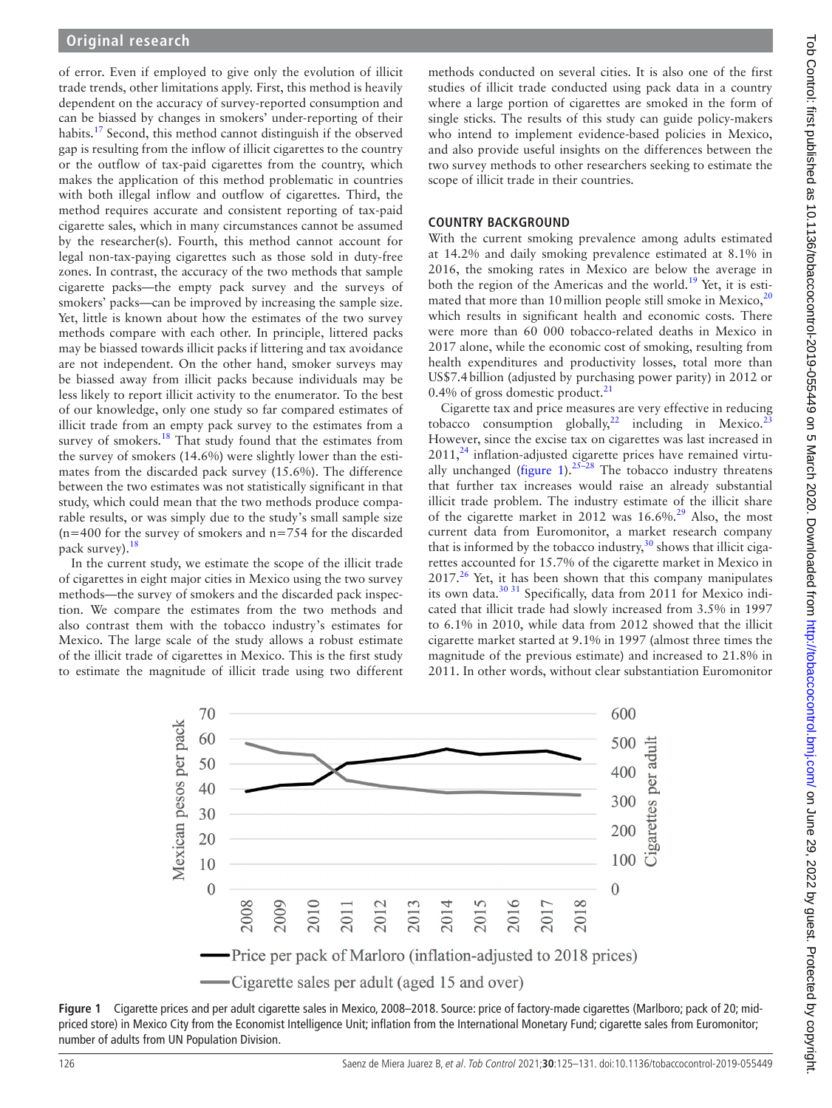of error. Even if employed to give only the evolution of illicit trade trends, other limitations apply. First, this method is heavily dependent on the accuracy of survey-reported consumption and can be biassed by changes in smokers' under-reporting of their habits.<sup>17</sup> Second, this method cannot distinguish if the observed gap is resulting from the inflow of illicit cigarettes to the country or the outflow of tax-paid cigarettes from the country, which makes the application of this method problematic in countries with both illegal inflow and outflow of cigarettes. Third, the method requires accurate and consistent reporting of tax-paid cigarette sales, which in many circumstances cannot be assumed by the researcher(s). Fourth, this method cannot account for legal non-tax-paying cigarettes such as those sold in duty-free zones. In contrast, the accuracy of the two methods that sample cigarette packs—the empty pack survey and the surveys of smokers' packs—can be improved by increasing the sample size. Yet, little is known about how the estimates of the two survey methods compare with each other. In principle, littered packs may be biassed towards illicit packs if littering and tax avoidance are not independent. On the other hand, smoker surveys may be biassed away from illicit packs because individuals may be less likely to report illicit activity to the enumerator. To the best of our knowledge, only one study so far compared estimates of illicit trade from an empty pack survey to the estimates from a survey of smokers.<sup>[18](#page-6-9)</sup> That study found that the estimates from the survey of smokers (14.6%) were slightly lower than the estimates from the discarded pack survey (15.6%). The difference between the two estimates was not statistically significant in that study, which could mean that the two methods produce comparable results, or was simply due to the study's small sample size  $(n=400$  for the survey of smokers and  $n=754$  for the discarded pack survey).[18](#page-6-9)

In the current study, we estimate the scope of the illicit trade of cigarettes in eight major cities in Mexico using the two survey methods—the survey of smokers and the discarded pack inspection. We compare the estimates from the two methods and also contrast them with the tobacco industry's estimates for Mexico. The large scale of the study allows a robust estimate of the illicit trade of cigarettes in Mexico. This is the first study to estimate the magnitude of illicit trade using two different

methods conducted on several cities. It is also one of the first studies of illicit trade conducted using pack data in a country where a large portion of cigarettes are smoked in the form of single sticks. The results of this study can guide policy-makers who intend to implement evidence-based policies in Mexico, and also provide useful insights on the differences between the two survey methods to other researchers seeking to estimate the scope of illicit trade in their countries.

## **COUNTRY BACKGROUND**

With the current smoking prevalence among adults estimated at 14.2% and daily smoking prevalence estimated at 8.1% in 2016, the smoking rates in Mexico are below the average in both the region of the Americas and the world.<sup>19</sup> Yet, it is estimated that more than 10 million people still smoke in Mexico, $20$ which results in significant health and economic costs. There were more than 60 000 tobacco-related deaths in Mexico in 2017 alone, while the economic cost of smoking, resulting from health expenditures and productivity losses, total more than US\$7.4billion (adjusted by purchasing power parity) in 2012 or 0.4% of gross domestic product.<sup>[21](#page-6-12)</sup>

Cigarette tax and price measures are very effective in reducing tobacco consumption globally,<sup>22</sup> including in Mexico.<sup>[23](#page-6-14)</sup> However, since the excise tax on cigarettes was last increased in  $2011<sub>1</sub><sup>24</sup>$  inflation-adjusted cigarette prices have remained virtually unchanged ([figure](#page-1-0) 1).<sup>25–28</sup> The tobacco industry threatens that further tax increases would raise an already substantial illicit trade problem. The industry estimate of the illicit share of the cigarette market in 2012 was  $16.6\%$ .<sup>[29](#page-6-17)</sup> Also, the most current data from Euromonitor, a market research company that is informed by the tobacco industry, $30$  shows that illicit cigarettes accounted for 15.7% of the cigarette market in Mexico in  $2017<sup>26</sup>$  Yet, it has been shown that this company manipulates its own data.[30 31](#page-6-18) Specifically, data from 2011 for Mexico indicated that illicit trade had slowly increased from 3.5% in 1997 to 6.1% in 2010, while data from 2012 showed that the illicit cigarette market started at 9.1% in 1997 (almost three times the magnitude of the previous estimate) and increased to 21.8% in 2011. In other words, without clear substantiation Euromonitor



<span id="page-1-0"></span>**Figure 1** Cigarette prices and per adult cigarette sales in Mexico, 2008–2018. Source: price of factory-made cigarettes (Marlboro; pack of 20; midpriced store) in Mexico City from the Economist Intelligence Unit; inflation from the International Monetary Fund; cigarette sales from Euromonitor; number of adults from UN Population Division.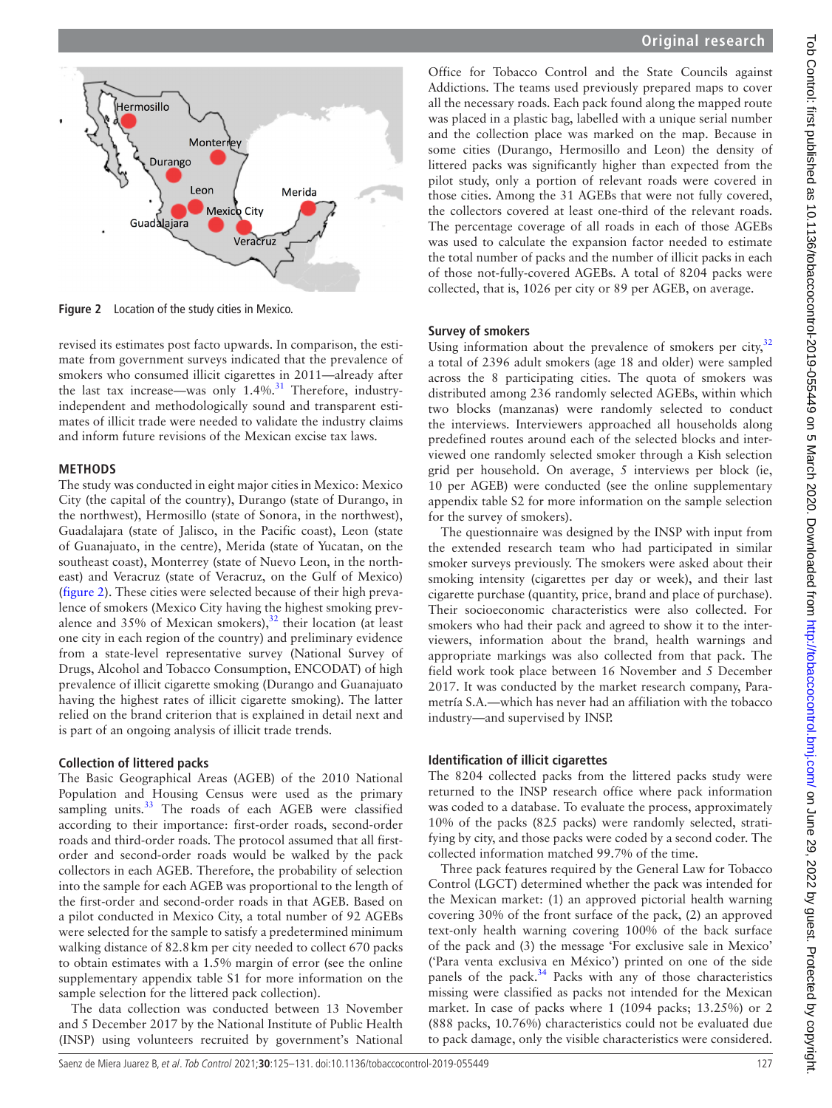



### **Identification of illicit cigarettes**

**Survey of smokers**

The 8204 collected packs from the littered packs study were returned to the INSP research office where pack information was coded to a database. To evaluate the process, approximately 10% of the packs (825 packs) were randomly selected, stratifying by city, and those packs were coded by a second coder. The collected information matched 99.7% of the time.

Three pack features required by the General Law for Tobacco Control (LGCT) determined whether the pack was intended for the Mexican market: (1) an approved pictorial health warning covering 30% of the front surface of the pack, (2) an approved text-only health warning covering 100% of the back surface of the pack and (3) the message 'For exclusive sale in Mexico' ('Para venta exclusiva en México') printed on one of the side panels of the pack. $34$  Packs with any of those characteristics missing were classified as packs not intended for the Mexican market. In case of packs where 1 (1094 packs; 13.25%) or 2 (888 packs, 10.76%) characteristics could not be evaluated due to pack damage, only the visible characteristics were considered.



<span id="page-2-0"></span>**Figure 2** Location of the study cities in Mexico.

revised its estimates post facto upwards. In comparison, the estimate from government surveys indicated that the prevalence of smokers who consumed illicit cigarettes in 2011—already after the last tax increase—was only  $1.4\%$ .<sup>31</sup> Therefore, industryindependent and methodologically sound and transparent estimates of illicit trade were needed to validate the industry claims and inform future revisions of the Mexican excise tax laws.

## **Methods**

The study was conducted in eight major cities in Mexico: Mexico City (the capital of the country), Durango (state of Durango, in the northwest), Hermosillo (state of Sonora, in the northwest), Guadalajara (state of Jalisco, in the Pacific coast), Leon (state of Guanajuato, in the centre), Merida (state of Yucatan, on the southeast coast), Monterrey (state of Nuevo Leon, in the northeast) and Veracruz (state of Veracruz, on the Gulf of Mexico) ([figure](#page-2-0) 2). These cities were selected because of their high prevalence of smokers (Mexico City having the highest smoking prevalence and 35% of Mexican smokers), $32$  their location (at least one city in each region of the country) and preliminary evidence from a state-level representative survey (National Survey of Drugs, Alcohol and Tobacco Consumption, ENCODAT) of high prevalence of illicit cigarette smoking (Durango and Guanajuato having the highest rates of illicit cigarette smoking). The latter relied on the brand criterion that is explained in detail next and is part of an ongoing analysis of illicit trade trends.

### **Collection of littered packs**

The Basic Geographical Areas (AGEB) of the 2010 National Population and Housing Census were used as the primary sampling units. $33$  The roads of each AGEB were classified according to their importance: first-order roads, second-order roads and third-order roads. The protocol assumed that all firstorder and second-order roads would be walked by the pack collectors in each AGEB. Therefore, the probability of selection into the sample for each AGEB was proportional to the length of the first-order and second-order roads in that AGEB. Based on a pilot conducted in Mexico City, a total number of 92 AGEBs were selected for the sample to satisfy a predetermined minimum walking distance of 82.8km per city needed to collect 670 packs to obtain estimates with a 1.5% margin of error (see the [online](https://dx.doi.org/10.1136/tobaccocontrol-2019-055449)  [supplementary appendix table S1](https://dx.doi.org/10.1136/tobaccocontrol-2019-055449) for more information on the sample selection for the littered pack collection).

The data collection was conducted between 13 November and 5 December 2017 by the National Institute of Public Health (INSP) using volunteers recruited by government's National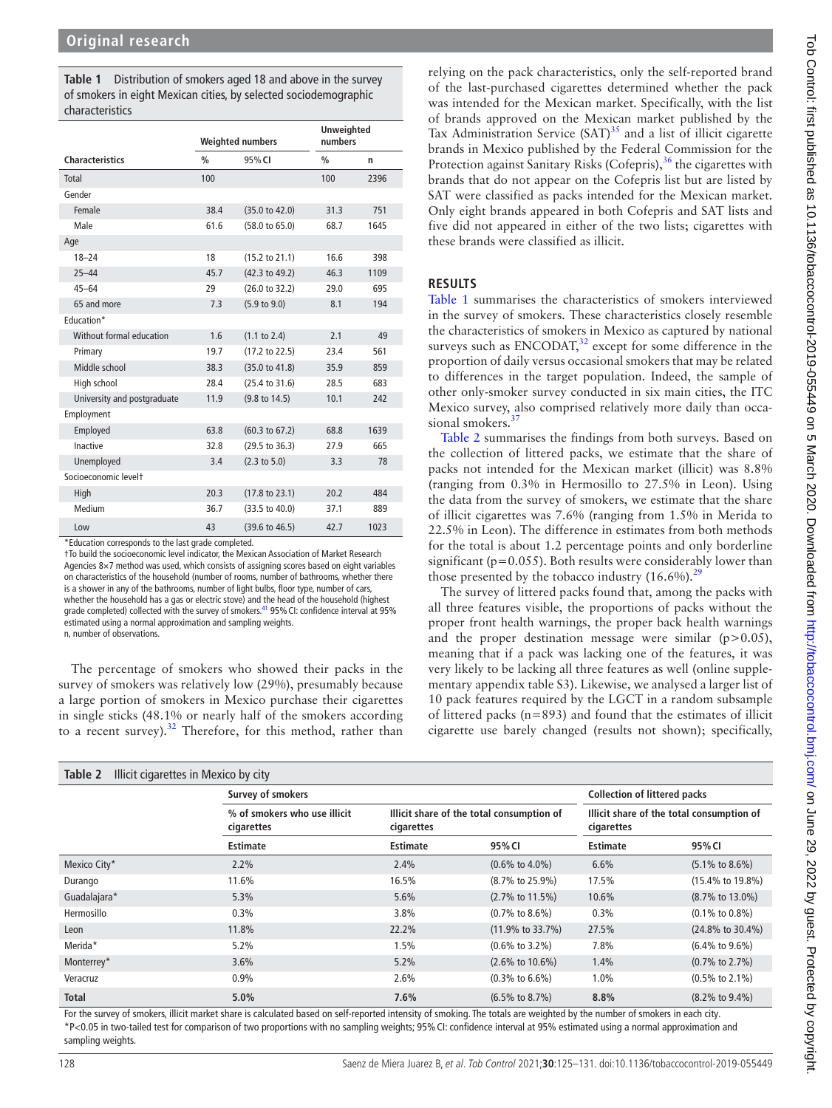<span id="page-3-0"></span>

|                                                                  | <b>Table 1</b> Distribution of smokers aged 18 and above in the survey |  |  |  |
|------------------------------------------------------------------|------------------------------------------------------------------------|--|--|--|
| of smokers in eight Mexican cities, by selected sociodemographic |                                                                        |  |  |  |
| characteristics                                                  |                                                                        |  |  |  |

|                             | <b>Weighted numbers</b> |                           | <b>Unweighted</b><br>numbers |      |
|-----------------------------|-------------------------|---------------------------|------------------------------|------|
| <b>Characteristics</b>      | $\frac{0}{0}$           | 95% CI                    | $\frac{0}{0}$                | n    |
| Total                       | 100                     |                           | 100                          | 2396 |
| Gender                      |                         |                           |                              |      |
| Female                      | 38.4                    | $(35.0 \text{ to } 42.0)$ | 31.3                         | 751  |
| Male                        | 61.6                    | $(58.0 \text{ to } 65.0)$ | 68.7                         | 1645 |
| Age                         |                         |                           |                              |      |
| $18 - 24$                   | 18                      | $(15.2 \text{ to } 21.1)$ | 16.6                         | 398  |
| $25 - 44$                   | 45.7                    | $(42.3 \text{ to } 49.2)$ | 46.3                         | 1109 |
| $45 - 64$                   | 29                      | $(26.0 \text{ to } 32.2)$ | 29.0                         | 695  |
| 65 and more                 | 7.3                     | $(5.9 \text{ to } 9.0)$   | 8.1                          | 194  |
| Fducation*                  |                         |                           |                              |      |
| Without formal education    | 1.6                     | $(1.1 \text{ to } 2.4)$   | 2.1                          | 49   |
| Primary                     | 19.7                    | $(17.2 \text{ to } 22.5)$ | 23.4                         | 561  |
| Middle school               | 38.3                    | $(35.0 \text{ to } 41.8)$ | 35.9                         | 859  |
| High school                 | 28.4                    | $(25.4 \text{ to } 31.6)$ | 28.5                         | 683  |
| University and postgraduate | 11.9                    | $(9.8 \text{ to } 14.5)$  | 10.1                         | 242  |
| Employment                  |                         |                           |                              |      |
| Employed                    | 63.8                    | (60.3 to 67.2)            | 68.8                         | 1639 |
| Inactive                    | 32.8                    | (29.5 to 36.3)            | 27.9                         | 665  |
| Unemployed                  | 3.4                     | $(2.3 \text{ to } 5.0)$   | 3.3                          | 78   |
| Socioeconomic levelt        |                         |                           |                              |      |
| High                        | 20.3                    | $(17.8 \text{ to } 23.1)$ | 20.2                         | 484  |
| Medium                      | 36.7                    | $(33.5 \text{ to } 40.0)$ | 37.1                         | 889  |
| Low                         | 43                      | $(39.6 \text{ to } 46.5)$ | 42.7                         | 1023 |

\*Education corresponds to the last grade completed.

†To build the socioeconomic level indicator, the Mexican Association of Market Research Agencies 8×7 method was used, which consists of assigning scores based on eight variables on characteristics of the household (number of rooms, number of bathrooms, whether there is a shower in any of the bathrooms, number of light bulbs, floor type, number of cars, whether the household has a gas or electric stove) and the head of the household (highest grade completed) collected with the survey of smokers.<sup>[41](#page-6-24)</sup> 95% CI: confidence interval at 95% estimated using a normal approximation and sampling weights.

n, number of observations.

The percentage of smokers who showed their packs in the survey of smokers was relatively low (29%), presumably because a large portion of smokers in Mexico purchase their cigarettes in single sticks (48.1% or nearly half of the smokers according to a recent survey).<sup>[32](#page-6-21)</sup> Therefore, for this method, rather than

relying on the pack characteristics, only the self-reported brand of the last-purchased cigarettes determined whether the pack was intended for the Mexican market. Specifically, with the list of brands approved on the Mexican market published by the Tax Administration Service  $(SAT)^{35}$  $(SAT)^{35}$  $(SAT)^{35}$  and a list of illicit cigarette brands in Mexico published by the Federal Commission for the Protection against Sanitary Risks (Cofepris),<sup>[36](#page-6-26)</sup> the cigarettes with brands that do not appear on the Cofepris list but are listed by SAT were classified as packs intended for the Mexican market. Only eight brands appeared in both Cofepris and SAT lists and five did not appeared in either of the two lists; cigarettes with these brands were classified as illicit.

# **Results**

[Table](#page-3-0) 1 summarises the characteristics of smokers interviewed in the survey of smokers. These characteristics closely resemble the characteristics of smokers in Mexico as captured by national surveys such as  $ENCODATA<sup>32</sup>$  $ENCODATA<sup>32</sup>$  $ENCODATA<sup>32</sup>$  except for some difference in the proportion of daily versus occasional smokers that may be related to differences in the target population. Indeed, the sample of other only-smoker survey conducted in six main cities, the ITC Mexico survey, also comprised relatively more daily than occa-sional smokers.<sup>[37](#page-6-27)</sup>

[Table](#page-3-1) 2 summarises the findings from both surveys. Based on the collection of littered packs, we estimate that the share of packs not intended for the Mexican market (illicit) was 8.8% (ranging from 0.3% in Hermosillo to 27.5% in Leon). Using the data from the survey of smokers, we estimate that the share of illicit cigarettes was 7.6% (ranging from 1.5% in Merida to 22.5% in Leon). The difference in estimates from both methods for the total is about 1.2 percentage points and only borderline significant ( $p=0.055$ ). Both results were considerably lower than those presented by the tobacco industry  $(16.6\%)$ .<sup>[29](#page-6-17)</sup>

The survey of littered packs found that, among the packs with all three features visible, the proportions of packs without the proper front health warnings, the proper back health warnings and the proper destination message were similar  $(p>0.05)$ , meaning that if a pack was lacking one of the features, it was very likely to be lacking all three features as well ([online supple](https://dx.doi.org/10.1136/tobaccocontrol-2019-055449)[mentary appendix table S3](https://dx.doi.org/10.1136/tobaccocontrol-2019-055449)). Likewise, we analysed a larger list of 10 pack features required by the LGCT in a random subsample of littered packs (n=893) and found that the estimates of illicit cigarette use barely changed (results not shown); specifically,

<span id="page-3-1"></span>

| Table 2<br>Illicit cigarettes in Mexico by city |                                            |                                                         |                               |                                                         |                               |  |  |
|-------------------------------------------------|--------------------------------------------|---------------------------------------------------------|-------------------------------|---------------------------------------------------------|-------------------------------|--|--|
|                                                 | Survey of smokers                          |                                                         |                               | <b>Collection of littered packs</b>                     |                               |  |  |
|                                                 | % of smokers who use illicit<br>cigarettes | Illicit share of the total consumption of<br>cigarettes |                               | Illicit share of the total consumption of<br>cigarettes |                               |  |  |
|                                                 | <b>Estimate</b>                            | <b>Estimate</b>                                         | 95% CI                        | <b>Estimate</b>                                         | 95% CI                        |  |  |
| Mexico City*                                    | 2.2%                                       | 2.4%                                                    | $(0.6\% \text{ to } 4.0\%)$   | 6.6%                                                    | $(5.1\% \text{ to } 8.6\%)$   |  |  |
| Durango                                         | 11.6%                                      | 16.5%                                                   | $(8.7\% \text{ to } 25.9\%)$  | 17.5%                                                   | $(15.4\% \text{ to } 19.8\%)$ |  |  |
| Guadalajara*                                    | 5.3%                                       | 5.6%                                                    | $(2.7\% \text{ to } 11.5\%)$  | 10.6%                                                   | $(8.7\% \text{ to } 13.0\%)$  |  |  |
| Hermosillo                                      | 0.3%                                       | 3.8%                                                    | $(0.7\% \text{ to } 8.6\%)$   | 0.3%                                                    | $(0.1\% \text{ to } 0.8\%)$   |  |  |
| Leon                                            | 11.8%                                      | 22.2%                                                   | $(11.9\% \text{ to } 33.7\%)$ | 27.5%                                                   | $(24.8\% \text{ to } 30.4\%)$ |  |  |
| Merida*                                         | 5.2%                                       | 1.5%                                                    | $(0.6\% \text{ to } 3.2\%)$   | 7.8%                                                    | $(6.4\% \text{ to } 9.6\%)$   |  |  |
| Monterrey*                                      | 3.6%                                       | 5.2%                                                    | $(2.6\% \text{ to } 10.6\%)$  | 1.4%                                                    | $(0.7\% \text{ to } 2.7\%)$   |  |  |
| Veracruz                                        | $0.9\%$                                    | 2.6%                                                    | $(0.3\% \text{ to } 6.6\%)$   | 1.0%                                                    | $(0.5\% \text{ to } 2.1\%)$   |  |  |
| <b>Total</b>                                    | 5.0%                                       | 7.6%                                                    | $(6.5\% \text{ to } 8.7\%)$   | 8.8%                                                    | $(8.2\% \text{ to } 9.4\%)$   |  |  |

For the survey of smokers, illicit market share is calculated based on self-reported intensity of smoking. The totals are weighted by the number of smokers in each city. \*P<0.05 in two-tailed test for comparison of two proportions with no sampling weights; 95%CI: confidence interval at 95% estimated using a normal approximation and sampling weights.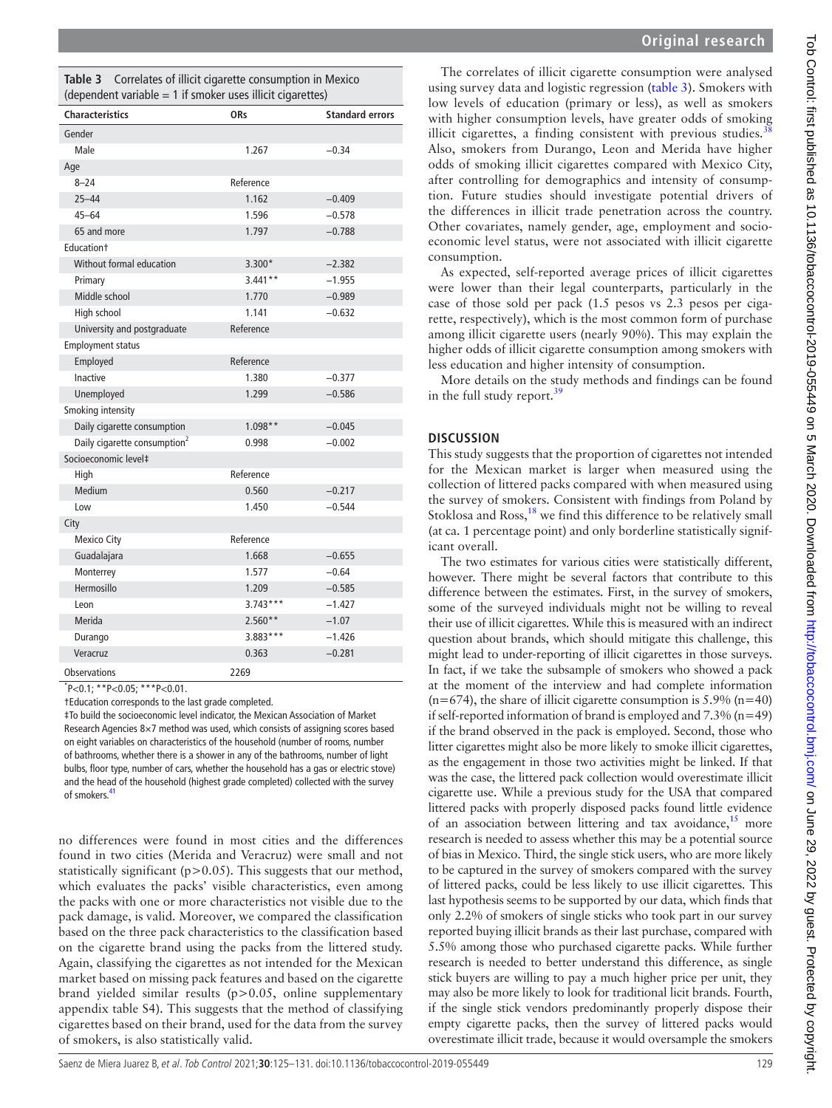The correlates of illicit cigarette consumption were analysed using survey data and logistic regression ([table](#page-4-0) 3). Smokers with low levels of education (primary or less), as well as smokers with higher consumption levels, have greater odds of smoking illicit cigarettes, a finding consistent with previous studies.<sup>3</sup> Also, smokers from Durango, Leon and Merida have higher odds of smoking illicit cigarettes compared with Mexico City, after controlling for demographics and intensity of consumption. Future studies should investigate potential drivers of the differences in illicit trade penetration across the country. Other covariates, namely gender, age, employment and socioeconomic level status, were not associated with illicit cigarette consumption.

As expected, self-reported average prices of illicit cigarettes were lower than their legal counterparts, particularly in the case of those sold per pack (1.5 pesos vs 2.3 pesos per cigarette, respectively), which is the most common form of purchase among illicit cigarette users (nearly 90%). This may explain the higher odds of illicit cigarette consumption among smokers with less education and higher intensity of consumption.

More details on the study methods and findings can be found in the full study report.<sup>[39](#page-6-29)</sup>

# **Discussion**

This study suggests that the proportion of cigarettes not intended for the Mexican market is larger when measured using the collection of littered packs compared with when measured using the survey of smokers. Consistent with findings from Poland by Stoklosa and Ross, $18$  we find this difference to be relatively small (at ca. 1 percentage point) and only borderline statistically significant overall.

The two estimates for various cities were statistically different, however. There might be several factors that contribute to this difference between the estimates. First, in the survey of smokers, some of the surveyed individuals might not be willing to reveal their use of illicit cigarettes. While this is measured with an indirect question about brands, which should mitigate this challenge, this might lead to under-reporting of illicit cigarettes in those surveys. In fact, if we take the subsample of smokers who showed a pack at the moment of the interview and had complete information  $(n=674)$ , the share of illicit cigarette consumption is 5.9%  $(n=40)$ if self-reported information of brand is employed and  $7.3\%$  (n=49) if the brand observed in the pack is employed. Second, those who litter cigarettes might also be more likely to smoke illicit cigarettes, as the engagement in those two activities might be linked. If that was the case, the littered pack collection would overestimate illicit cigarette use. While a previous study for the USA that compared littered packs with properly disposed packs found little evidence of an association between littering and tax avoidance,  $15$  more research is needed to assess whether this may be a potential source of bias in Mexico. Third, the single stick users, who are more likely to be captured in the survey of smokers compared with the survey of littered packs, could be less likely to use illicit cigarettes. This last hypothesis seems to be supported by our data, which finds that only 2.2% of smokers of single sticks who took part in our survey reported buying illicit brands as their last purchase, compared with 5.5% among those who purchased cigarette packs. While further research is needed to better understand this difference, as single stick buyers are willing to pay a much higher price per unit, they may also be more likely to look for traditional licit brands. Fourth, if the single stick vendors predominantly properly dispose their empty cigarette packs, then the survey of littered packs would overestimate illicit trade, because it would oversample the smokers

<span id="page-4-0"></span>**Table 3** Correlates of illicit cigarette consumption in Mexico (dependent variable = 1 if smoker uses illicit cigarettes)

| <b>Characteristics</b>                   | <b>ORs</b> | <b>Standard errors</b> |  |  |
|------------------------------------------|------------|------------------------|--|--|
| Gender                                   |            |                        |  |  |
| Male                                     | 1.267      | $-0.34$                |  |  |
| Age                                      |            |                        |  |  |
| $8 - 24$                                 | Reference  |                        |  |  |
| $25 - 44$                                | 1.162      | $-0.409$               |  |  |
| $45 - 64$                                | 1.596      | $-0.578$               |  |  |
| 65 and more                              | 1.797      | $-0.788$               |  |  |
| <b>Education</b> t                       |            |                        |  |  |
| Without formal education                 | 3.300*     | $-2.382$               |  |  |
| Primary                                  | $3.441**$  | $-1.955$               |  |  |
| Middle school                            | 1.770      | $-0.989$               |  |  |
| High school                              | 1.141      | $-0.632$               |  |  |
| University and postgraduate              | Reference  |                        |  |  |
| <b>Employment status</b>                 |            |                        |  |  |
| Employed                                 | Reference  |                        |  |  |
| Inactive                                 | 1.380      | $-0.377$               |  |  |
| Unemployed                               | 1.299      | $-0.586$               |  |  |
| Smoking intensity                        |            |                        |  |  |
| Daily cigarette consumption              | $1.098**$  | $-0.045$               |  |  |
| Daily cigarette consumption <sup>2</sup> | 0.998      | $-0.002$               |  |  |
| Socioeconomic level‡                     |            |                        |  |  |
| High                                     | Reference  |                        |  |  |
| Medium                                   | 0.560      | $-0.217$               |  |  |
| Low                                      | 1.450      | $-0.544$               |  |  |
| City                                     |            |                        |  |  |
| <b>Mexico City</b>                       | Reference  |                        |  |  |
| Guadalajara                              | 1.668      | $-0.655$               |  |  |
| Monterrey                                | 1.577      | $-0.64$                |  |  |
| Hermosillo                               | 1.209      | $-0.585$               |  |  |
| Leon                                     | $3.743***$ | $-1.427$               |  |  |
| Merida                                   | $2.560**$  | $-1.07$                |  |  |
| Durango                                  | 3.883 ***  | $-1.426$               |  |  |
| Veracruz                                 | 0.363      | $-0.281$               |  |  |
| <b>Observations</b>                      | 2269       |                        |  |  |

\* P<0.1; \*\*P<0.05; \*\*\*P<0.01.

†Education corresponds to the last grade completed.

‡To build the socioeconomic level indicator, the Mexican Association of Market Research Agencies 8×7 method was used, which consists of assigning scores based on eight variables on characteristics of the household (number of rooms, number of bathrooms, whether there is a shower in any of the bathrooms, number of light bulbs, floor type, number of cars, whether the household has a gas or electric stove) and the head of the household (highest grade completed) collected with the survey of smokers.[41](#page-6-24)

no differences were found in most cities and the differences found in two cities (Merida and Veracruz) were small and not statistically significant ( $p > 0.05$ ). This suggests that our method, which evaluates the packs' visible characteristics, even among the packs with one or more characteristics not visible due to the pack damage, is valid. Moreover, we compared the classification based on the three pack characteristics to the classification based on the cigarette brand using the packs from the littered study. Again, classifying the cigarettes as not intended for the Mexican market based on missing pack features and based on the cigarette brand yielded similar results (p>0.05, [online supplementary](https://dx.doi.org/10.1136/tobaccocontrol-2019-055449)  [appendix table S4\)](https://dx.doi.org/10.1136/tobaccocontrol-2019-055449). This suggests that the method of classifying cigarettes based on their brand, used for the data from the survey of smokers, is also statistically valid.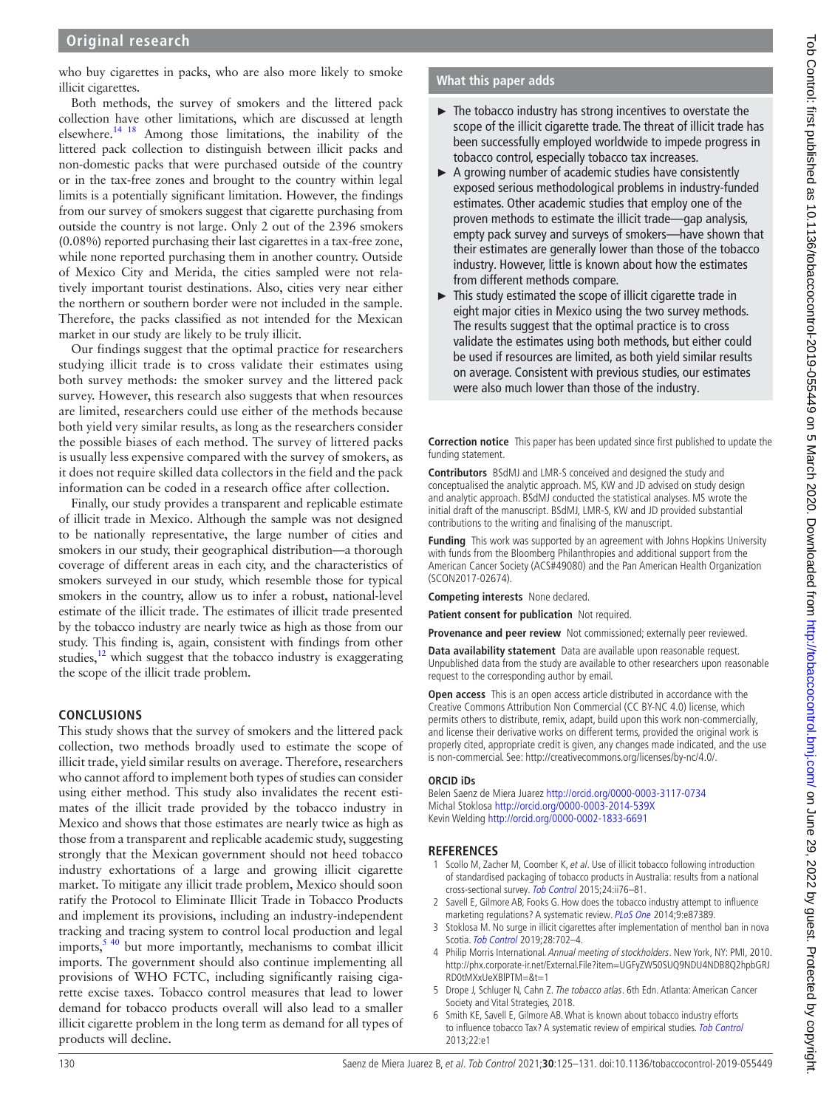who buy cigarettes in packs, who are also more likely to smoke illicit cigarettes.

Both methods, the survey of smokers and the littered pack collection have other limitations, which are discussed at length elsewhere[.14 18](#page-6-5) Among those limitations, the inability of the littered pack collection to distinguish between illicit packs and non-domestic packs that were purchased outside of the country or in the tax-free zones and brought to the country within legal limits is a potentially significant limitation. However, the findings from our survey of smokers suggest that cigarette purchasing from outside the country is not large. Only 2 out of the 2396 smokers (0.08%) reported purchasing their last cigarettes in a tax-free zone, while none reported purchasing them in another country. Outside of Mexico City and Merida, the cities sampled were not relatively important tourist destinations. Also, cities very near either the northern or southern border were not included in the sample. Therefore, the packs classified as not intended for the Mexican market in our study are likely to be truly illicit.

Our findings suggest that the optimal practice for researchers studying illicit trade is to cross validate their estimates using both survey methods: the smoker survey and the littered pack survey. However, this research also suggests that when resources are limited, researchers could use either of the methods because both yield very similar results, as long as the researchers consider the possible biases of each method. The survey of littered packs is usually less expensive compared with the survey of smokers, as it does not require skilled data collectors in the field and the pack information can be coded in a research office after collection.

Finally, our study provides a transparent and replicable estimate of illicit trade in Mexico. Although the sample was not designed to be nationally representative, the large number of cities and smokers in our study, their geographical distribution—a thorough coverage of different areas in each city, and the characteristics of smokers surveyed in our study, which resemble those for typical smokers in the country, allow us to infer a robust, national-level estimate of the illicit trade. The estimates of illicit trade presented by the tobacco industry are nearly twice as high as those from our study. This finding is, again, consistent with findings from other studies, $12$  which suggest that the tobacco industry is exaggerating the scope of the illicit trade problem.

# **Conclusions**

This study shows that the survey of smokers and the littered pack collection, two methods broadly used to estimate the scope of illicit trade, yield similar results on average. Therefore, researchers who cannot afford to implement both types of studies can consider using either method. This study also invalidates the recent estimates of the illicit trade provided by the tobacco industry in Mexico and shows that those estimates are nearly twice as high as those from a transparent and replicable academic study, suggesting strongly that the Mexican government should not heed tobacco industry exhortations of a large and growing illicit cigarette market. To mitigate any illicit trade problem, Mexico should soon ratify the Protocol to Eliminate Illicit Trade in Tobacco Products and implement its provisions, including an industry-independent tracking and tracing system to control local production and legal imports, $5\frac{40}{1}$  but more importantly, mechanisms to combat illicit imports. The government should also continue implementing all provisions of WHO FCTC, including significantly raising cigarette excise taxes. Tobacco control measures that lead to lower demand for tobacco products overall will also lead to a smaller illicit cigarette problem in the long term as demand for all types of products will decline.

# **What this paper adds**

- ► The tobacco industry has strong incentives to overstate the scope of the illicit cigarette trade. The threat of illicit trade has been successfully employed worldwide to impede progress in tobacco control, especially tobacco tax increases.
- ► A growing number of academic studies have consistently exposed serious methodological problems in industry-funded estimates. Other academic studies that employ one of the proven methods to estimate the illicit trade—gap analysis, empty pack survey and surveys of smokers—have shown that their estimates are generally lower than those of the tobacco industry. However, little is known about how the estimates from different methods compare.
- ► This study estimated the scope of illicit cigarette trade in eight major cities in Mexico using the two survey methods. The results suggest that the optimal practice is to cross validate the estimates using both methods, but either could be used if resources are limited, as both yield similar results on average. Consistent with previous studies, our estimates were also much lower than those of the industry.

**Correction notice** This paper has been updated since first published to update the funding statement.

**Contributors** BSdMJ and LMR-S conceived and designed the study and conceptualised the analytic approach. MS, KW and JD advised on study design and analytic approach. BSdMJ conducted the statistical analyses. MS wrote the initial draft of the manuscript. BSdMJ, LMR-S, KW and JD provided substantial contributions to the writing and finalising of the manuscript.

**Funding** This work was supported by an agreement with Johns Hopkins University with funds from the Bloomberg Philanthropies and additional support from the American Cancer Society (ACS#49080) and the Pan American Health Organization (SCON2017-02674).

**Competing interests** None declared.

**Patient consent for publication** Not required.

**Provenance and peer review** Not commissioned; externally peer reviewed.

**Data availability statement** Data are available upon reasonable request. Unpublished data from the study are available to other researchers upon reasonable request to the corresponding author by email.

**Open access** This is an open access article distributed in accordance with the Creative Commons Attribution Non Commercial (CC BY-NC 4.0) license, which permits others to distribute, remix, adapt, build upon this work non-commercially, and license their derivative works on different terms, provided the original work is properly cited, appropriate credit is given, any changes made indicated, and the use is non-commercial. See: [http://creativecommons.org/licenses/by-nc/4.0/.](http://creativecommons.org/licenses/by-nc/4.0/)

#### **ORCID iDs**

Belen Saenz de Miera Juarez<http://orcid.org/0000-0003-3117-0734> Michal Stoklosa<http://orcid.org/0000-0003-2014-539X> Kevin Welding <http://orcid.org/0000-0002-1833-6691>

# **References**

- <span id="page-5-0"></span>1 Scollo M, Zacher M, Coomber K, et al. Use of illicit tobacco following introduction of standardised packaging of tobacco products in Australia: results from a national cross-sectional survey. [Tob Control](http://dx.doi.org/10.1136/tobaccocontrol-2014-052072) 2015;24:ii76–81.
- <span id="page-5-1"></span>2 Savell E, Gilmore AB, Fooks G. How does the tobacco industry attempt to influence marketing regulations? A systematic review. [PLoS One](http://dx.doi.org/10.1371/journal.pone.0087389) 2014;9:e87389.
- <span id="page-5-2"></span>3 Stoklosa M. No surge in illicit cigarettes after implementation of menthol ban in nova Scotia. [Tob Control](http://dx.doi.org/10.1136/tobaccocontrol-2018-054552) 2019:28:702-4.
- <span id="page-5-3"></span>4 Philip Morris International. Annual meeting of stockholders. New York, NY: PMI, 2010. [http://phx.corporate-ir.net/External.File?item=UGFyZW50SUQ9NDU4NDB8Q2hpbGRJ](http://phx.corporate-ir.net/External.File?item=UGFyZW50SUQ9NDU4NDB8Q2hpbGRJRD0tMXxUeXBlPTM=&t=1) [RD0tMXxUeXBlPTM=&t=1](http://phx.corporate-ir.net/External.File?item=UGFyZW50SUQ9NDU4NDB8Q2hpbGRJRD0tMXxUeXBlPTM=&t=1)
- <span id="page-5-4"></span>5 Drope J, Schluger N, Cahn Z. The tobacco atlas. 6th Edn. Atlanta: American Cancer Society and Vital Strategies, 2018.
- <span id="page-5-5"></span>Smith KE, Savell E, Gilmore AB. What is known about tobacco industry efforts to influence tobacco Tax? A systematic review of empirical studies. [Tob Control](http://dx.doi.org/10.1136/tobaccocontrol-2011-050098) 2013;22:e1